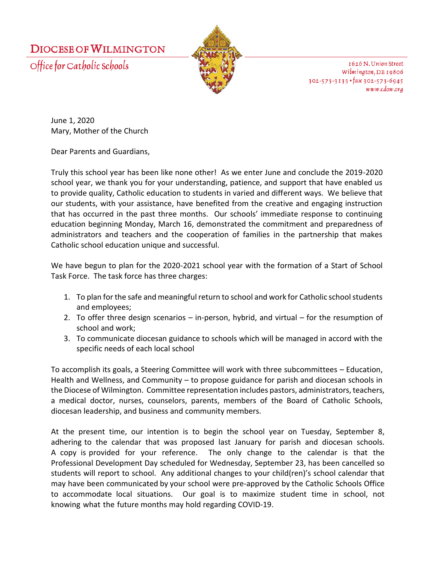**DIOCESE OF WILMINGTON** 

Office for Catholic Schools



1626 N. Union Street Wilmington, DE 19806  $302 - 573 - 3133$  ·  $\frac{1}{4}ax$  302-573-6945 www.cdow.org

June 1, 2020 Mary, Mother of the Church

Dear Parents and Guardians,

Truly this school year has been like none other! As we enter June and conclude the 2019-2020 school year, we thank you for your understanding, patience, and support that have enabled us to provide quality, Catholic education to students in varied and different ways. We believe that our students, with your assistance, have benefited from the creative and engaging instruction that has occurred in the past three months. Our schools' immediate response to continuing education beginning Monday, March 16, demonstrated the commitment and preparedness of administrators and teachers and the cooperation of families in the partnership that makes Catholic school education unique and successful.

We have begun to plan for the 2020-2021 school year with the formation of a Start of School Task Force. The task force has three charges:

- 1. To plan for the safe and meaningful return to school and work for Catholic school students and employees;
- 2. To offer three design scenarios in-person, hybrid, and virtual for the resumption of school and work;
- 3. To communicate diocesan guidance to schools which will be managed in accord with the specific needs of each local school

To accomplish its goals, a Steering Committee will work with three subcommittees – Education, Health and Wellness, and Community – to propose guidance for parish and diocesan schools in the Diocese of Wilmington. Committee representation includes pastors, administrators, teachers, a medical doctor, nurses, counselors, parents, members of the Board of Catholic Schools, diocesan leadership, and business and community members.

At the present time, our intention is to begin the school year on Tuesday, September 8, adhering to the calendar that was proposed last January for parish and diocesan schools. A copy is provided for your reference. The only change to the calendar is that the Professional Development Day scheduled for Wednesday, September 23, has been cancelled so students will report to school. Any additional changes to your child(ren)'s school calendar that may have been communicated by your school were pre-approved by the Catholic Schools Office to accommodate local situations. Our goal is to maximize student time in school, not knowing what the future months may hold regarding COVID-19.